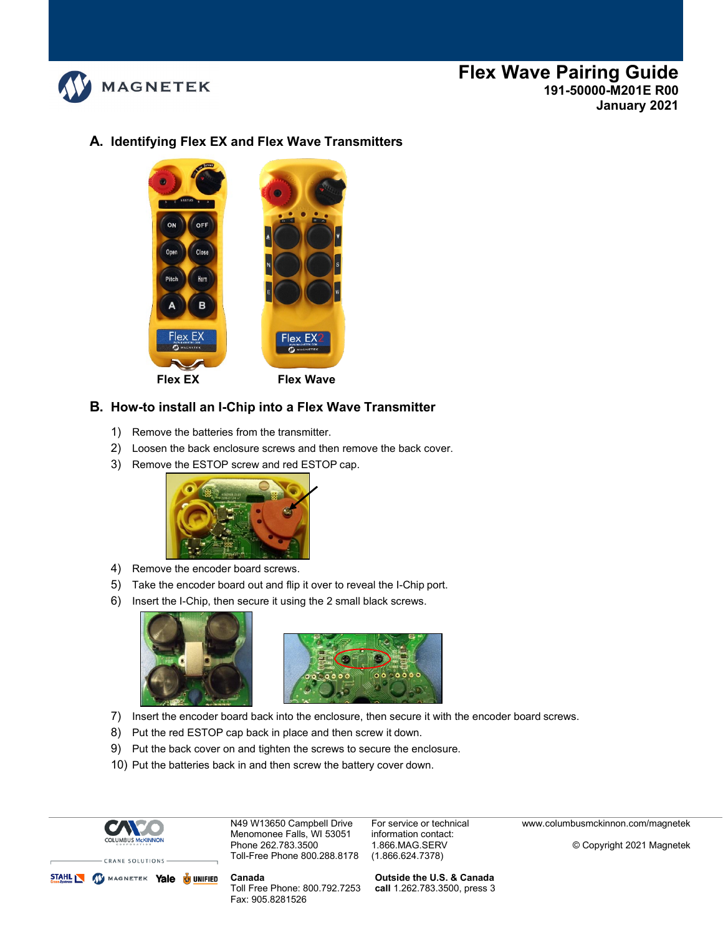

## **A. Identifying Flex EX and Flex Wave Transmitters**



#### **B. How-to install an I-Chip into a Flex Wave Transmitter**

- 1) Remove the batteries from the transmitter.
- 2) Loosen the back enclosure screws and then remove the back cover.
- 3) Remove the ESTOP screw and red ESTOP cap.



- 4) Remove the encoder board screws.
- 5) Take the encoder board out and flip it over to reveal the I-Chip port.
- 6) Insert the I-Chip, then secure it using the 2 small black screws.





- 7) Insert the encoder board back into the enclosure, then secure it with the encoder board screws.
- 8) Put the red ESTOP cap back in place and then screw it down.
- 9) Put the back cover on and tighten the screws to secure the enclosure.
- 10) Put the batteries back in and then screw the battery cover down.



CRANE SOLUTIONS STAHL N WAGNETEK Yale UNIFIED

N49 W13650 Campbell Drive Menomonee Falls, WI 53051 Phone 262.783.3500 Toll-Free Phone 800.288.8178

**Canada**  Toll Free Phone: 800.792.7253 Fax: 905.8281526

For service or technical information contact: 1.866.MAG.SERV (1.866.624.7378)

**Outside the U.S. & Canada call** 1.262.783.3500, press 3 [www.columbusmckinnon.com/magnetek](http://www.columbusmckinnon.com/magnetek)

© Copyright 2021 Magnetek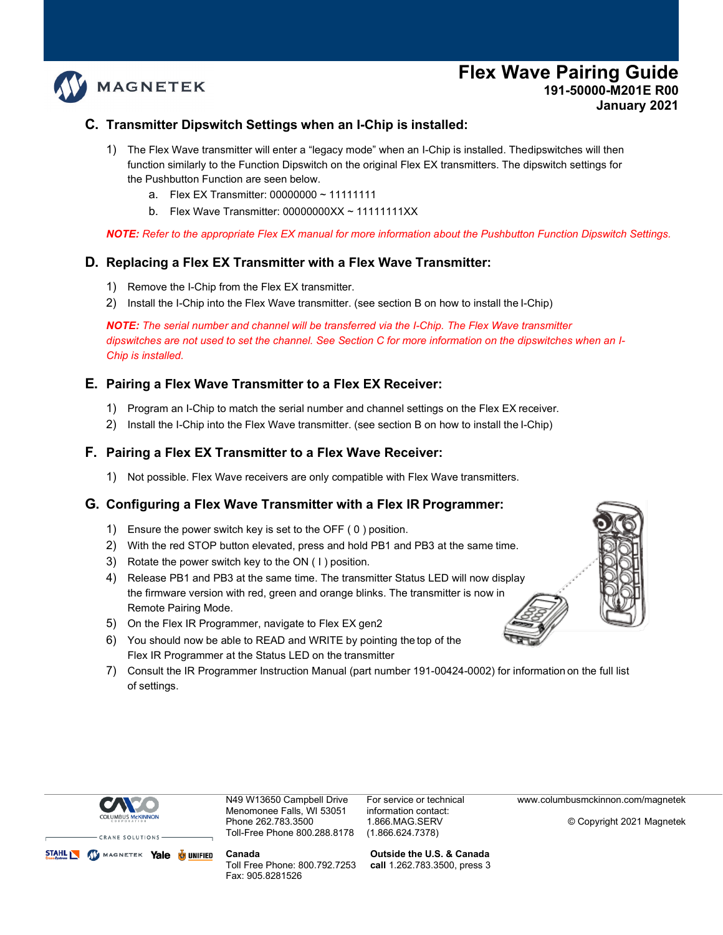### **C. Transmitter Dipswitch Settings when an I-Chip is installed:**

- 1) The Flex Wave transmitter will enter a "legacy mode" when an I-Chip is installed. Thedipswitches will then function similarly to the Function Dipswitch on the original Flex EX transmitters. The dipswitch settings for the Pushbutton Function are seen below.
	- a. Flex EX Transmitter: 00000000 ~ 11111111
	- b. Flex Wave Transmitter: 00000000XX ~ 11111111XX

*NOTE: Refer to the appropriate Flex EX manual for more information about the Pushbutton Function Dipswitch Settings.*

#### **D. Replacing a Flex EX Transmitter with a Flex Wave Transmitter:**

1) Remove the I-Chip from the Flex EX transmitter.

**MAGNETEK** 

2) Install the I-Chip into the Flex Wave transmitter. (see section B on how to install the I-Chip)

*NOTE: The serial number and channel will be transferred via the I-Chip. The Flex Wave transmitter dipswitches are not used to set the channel. See Section C for more information on the dipswitches when an I-Chip is installed.*

#### **E. Pairing a Flex Wave Transmitter to a Flex EX Receiver:**

- 1) Program an I-Chip to match the serial number and channel settings on the Flex EX receiver.
- 2) Install the I-Chip into the Flex Wave transmitter. (see section B on how to install the I-Chip)

#### **F. Pairing a Flex EX Transmitter to a Flex Wave Receiver:**

1) Not possible. Flex Wave receivers are only compatible with Flex Wave transmitters.

#### **G. Configuring a Flex Wave Transmitter with a Flex IR Programmer:**

- 1) Ensure the power switch key is set to the OFF ( 0 ) position.
- 2) With the red STOP button elevated, press and hold PB1 and PB3 at the same time.
- 3) Rotate the power switch key to the ON ( I ) position.
- 4) Release PB1 and PB3 at the same time. The transmitter Status LED will now display the firmware version with red, green and orange blinks. The transmitter is now in Remote Pairing Mode.
- 5) On the Flex IR Programmer, navigate to Flex EX gen2
- 6) You should now be able to READ and WRITE by pointing the top of the Flex IR Programmer at the Status LED on the transmitter
- 7) Consult the IR Programmer Instruction Manual (part number 191-00424-0002) for information on the full list of settings.



N49 W13650 Campbell Drive Menomonee Falls, WI 53051 Phone 262.783.3500 Toll-Free Phone 800.288.8178 For service or technical information contact: 1.866.MAG.SERV (1.866.624.7378)

[www.columbusmckinnon.com/magnetek](http://www.columbusmckinnon.com/magnetek)

© Copyright 2021 Magnetek

STAHL W MAGNETEK Yale & UNIFIED **Canada** 

Toll Free Phone: 800.792.7253 Fax: 905.8281526

**Outside the U.S. & Canada call** 1.262.783.3500, press 3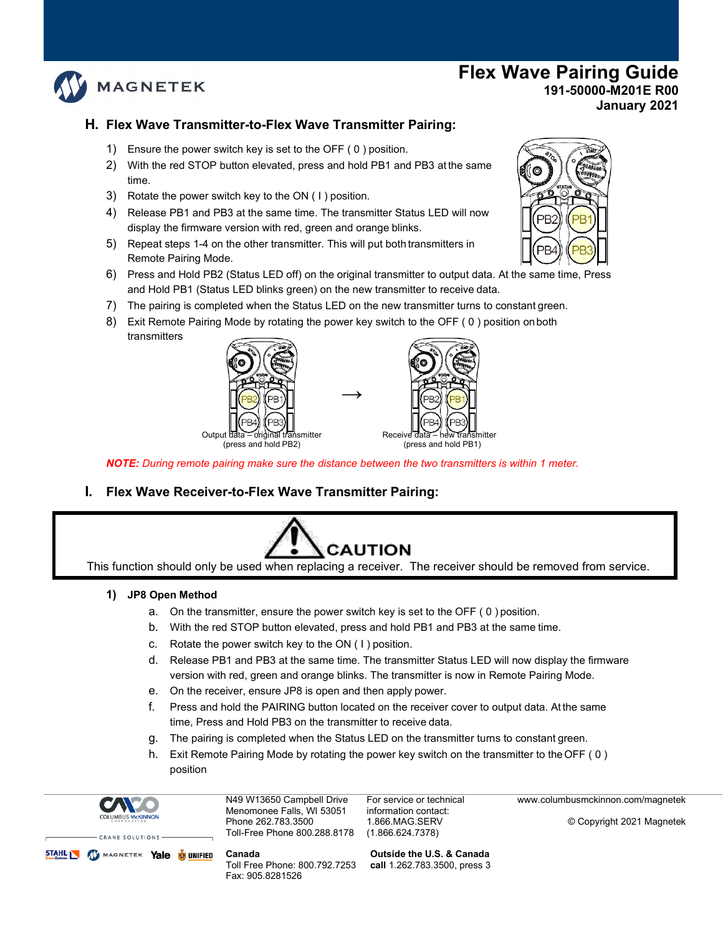

## **H. Flex Wave Transmitter-to-Flex Wave Transmitter Pairing:**

- 1) Ensure the power switch key is set to the OFF ( 0 ) position.
- 2) With the red STOP button elevated, press and hold PB1 and PB3 at the same time.
- 3) Rotate the power switch key to the ON ( I ) position.
- 4) Release PB1 and PB3 at the same time. The transmitter Status LED will now display the firmware version with red, green and orange blinks.
- 5) Repeat steps 1-4 on the other transmitter. This will put both transmitters in Remote Pairing Mode.
- 6) Press and Hold PB2 (Status LED off) on the original transmitter to output data. At the same time, Press and Hold PB1 (Status LED blinks green) on the new transmitter to receive data.
- 7) The pairing is completed when the Status LED on the new transmitter turns to constant green.
- 8) Exit Remote Pairing Mode by rotating the power key switch to the OFF ( 0 ) position onboth transmitters





*NOTE: During remote pairing make sure the distance between the two transmitters is within 1 meter.*

**→**

**I. Flex Wave Receiver-to-Flex Wave Transmitter Pairing:**



This function should only be used when replacing a receiver. The receiver should be removed from service.

#### **1) JP8 Open Method**

- a. On the transmitter, ensure the power switch key is set to the OFF ( 0 ) position.
- b. With the red STOP button elevated, press and hold PB1 and PB3 at the same time.
- c. Rotate the power switch key to the ON ( I ) position.
- d. Release PB1 and PB3 at the same time. The transmitter Status LED will now display the firmware version with red, green and orange blinks. The transmitter is now in Remote Pairing Mode.
- e. On the receiver, ensure JP8 is open and then apply power.
- f. Press and hold the PAIRING button located on the receiver cover to output data. At the same time, Press and Hold PB3 on the transmitter to receive data.
- g. The pairing is completed when the Status LED on the transmitter turns to constant green.
- h. Exit Remote Pairing Mode by rotating the power key switch on the transmitter to theOFF ( 0 ) position



N49 W13650 Campbell Drive Menomonee Falls, WI 53051 Phone 262.783.3500 Toll-Free Phone 800.288.8178

CRANE SOLUTIONS STAHL W MAGNETEK Yale & UNIFIED

**Canada**  Toll Free Phone: 800.792.7253

Fax: 905.8281526

For service or technical information contact: 1.866.MAG.SERV (1.866.624.7378)

[www.columbusmckinnon.com/magnetek](http://www.columbusmckinnon.com/magnetek)

© Copyright 2021 Magnetek

**Outside the U.S. & Canada call** 1.262.783.3500, press 3

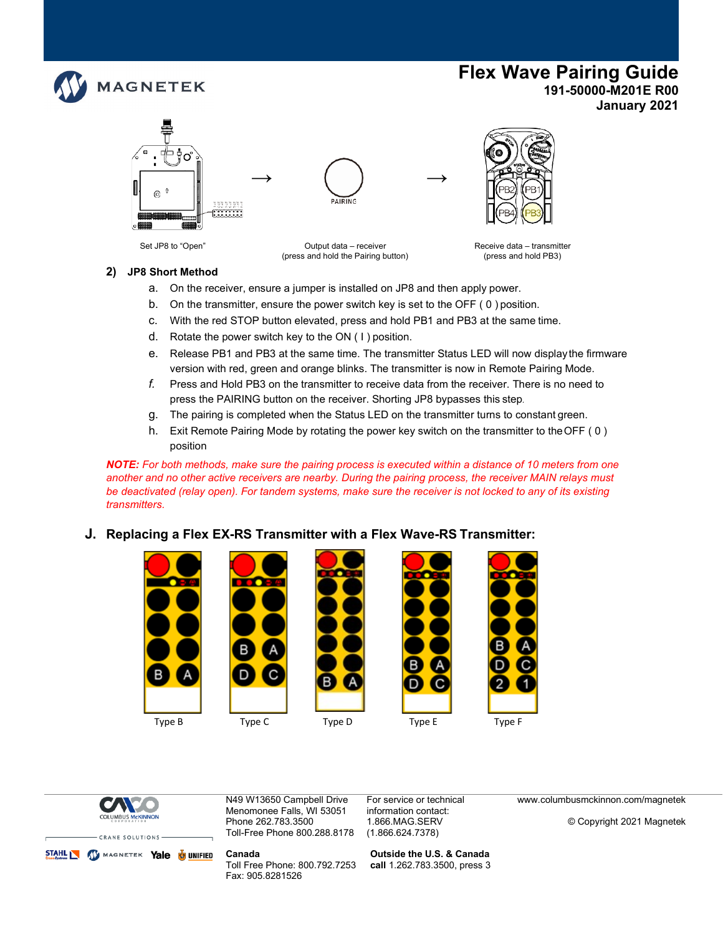



Set JP8 to "Open" Output data – receiver Conserver data – transmitter Receive data – transmitter<br>(press and hold the Pairing button) (press and hold PB3) (press and hold the Pairing button)

#### **2) JP8 Short Method**

- a. On the receiver, ensure a jumper is installed on JP8 and then apply power.
- b. On the transmitter, ensure the power switch key is set to the OFF ( 0 ) position.
- c. With the red STOP button elevated, press and hold PB1 and PB3 at the same time.
- d. Rotate the power switch key to the ON ( I ) position.
- e. Release PB1 and PB3 at the same time. The transmitter Status LED will now display the firmware version with red, green and orange blinks. The transmitter is now in Remote Pairing Mode.
- *f.* Press and Hold PB3 on the transmitter to receive data from the receiver. There is no need to press the PAIRING button on the receiver. Shorting JP8 bypasses this step*.*
- g. The pairing is completed when the Status LED on the transmitter turns to constant green.
- h. Exit Remote Pairing Mode by rotating the power key switch on the transmitter to the OFF (0) position

*NOTE: For both methods, make sure the pairing process is executed within a distance of 10 meters from one another and no other active receivers are nearby. During the pairing process, the receiver MAIN relays must*  be deactivated (relay open). For tandem systems, make sure the receiver is not locked to any of its existing *transmitters.*

## **J. Replacing a Flex EX-RS Transmitter with a Flex Wave-RS Transmitter:**

m

г



Type B Type C Type D Type E Type F







N49 W13650 Campbell Drive Menomonee Falls, WI 53051 Phone 262.783.3500 Toll-Free Phone 800.288.8178 For service or technical information contact: 1.866.MAG.SERV (1.866.624.7378)

**Outside the U.S. & Canada call** 1.262.783.3500, press 3 [www.columbusmckinnon.com/magnetek](http://www.columbusmckinnon.com/magnetek)

© Copyright 2021 Magnetek



**Canada**  Toll Free Phone: 800.792.7253 Fax: 905.8281526